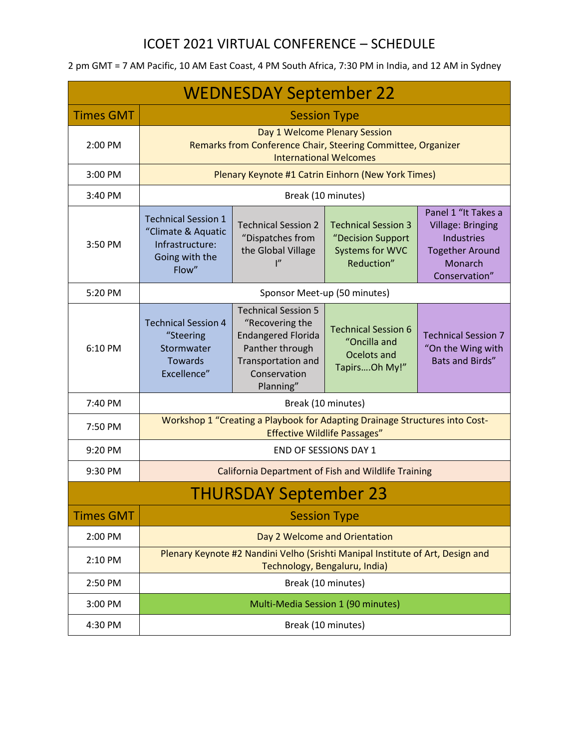## ICOET 2021 VIRTUAL CONFERENCE – SCHEDULE

| <b>WEDNESDAY September 22</b> |                                                                                                                                |                                                                                                                                                  |                                                                                  |                                                                                                                            |  |  |  |
|-------------------------------|--------------------------------------------------------------------------------------------------------------------------------|--------------------------------------------------------------------------------------------------------------------------------------------------|----------------------------------------------------------------------------------|----------------------------------------------------------------------------------------------------------------------------|--|--|--|
| <b>Times GMT</b>              | <b>Session Type</b>                                                                                                            |                                                                                                                                                  |                                                                                  |                                                                                                                            |  |  |  |
| 2:00 PM                       | Day 1 Welcome Plenary Session<br>Remarks from Conference Chair, Steering Committee, Organizer<br><b>International Welcomes</b> |                                                                                                                                                  |                                                                                  |                                                                                                                            |  |  |  |
| 3:00 PM                       | Plenary Keynote #1 Catrin Einhorn (New York Times)                                                                             |                                                                                                                                                  |                                                                                  |                                                                                                                            |  |  |  |
| 3:40 PM                       | Break (10 minutes)                                                                                                             |                                                                                                                                                  |                                                                                  |                                                                                                                            |  |  |  |
| 3:50 PM                       | <b>Technical Session 1</b><br>"Climate & Aquatic<br>Infrastructure:<br>Going with the<br>Flow"                                 | <b>Technical Session 2</b><br>"Dispatches from<br>the Global Village<br>$\mathsf{I}''$                                                           | <b>Technical Session 3</b><br>"Decision Support<br>Systems for WVC<br>Reduction" | Panel 1 "It Takes a<br><b>Village: Bringing</b><br><b>Industries</b><br><b>Together Around</b><br>Monarch<br>Conservation" |  |  |  |
| 5:20 PM                       | Sponsor Meet-up (50 minutes)                                                                                                   |                                                                                                                                                  |                                                                                  |                                                                                                                            |  |  |  |
| 6:10 PM                       | <b>Technical Session 4</b><br>"Steering<br>Stormwater<br>Towards<br>Excellence"                                                | <b>Technical Session 5</b><br>"Recovering the<br><b>Endangered Florida</b><br>Panther through<br>Transportation and<br>Conservation<br>Planning" | <b>Technical Session 6</b><br>"Oncilla and<br>Ocelots and<br>TapirsOh My!"       | <b>Technical Session 7</b><br>"On the Wing with<br><b>Bats and Birds"</b>                                                  |  |  |  |
| 7:40 PM                       | Break (10 minutes)                                                                                                             |                                                                                                                                                  |                                                                                  |                                                                                                                            |  |  |  |
| 7:50 PM                       | Workshop 1 "Creating a Playbook for Adapting Drainage Structures into Cost-<br><b>Effective Wildlife Passages"</b>             |                                                                                                                                                  |                                                                                  |                                                                                                                            |  |  |  |
| 9:20 PM                       | END OF SESSIONS DAY 1                                                                                                          |                                                                                                                                                  |                                                                                  |                                                                                                                            |  |  |  |
| 9:30 PM                       | <b>California Department of Fish and Wildlife Training</b>                                                                     |                                                                                                                                                  |                                                                                  |                                                                                                                            |  |  |  |
| <b>THURSDAY September 23</b>  |                                                                                                                                |                                                                                                                                                  |                                                                                  |                                                                                                                            |  |  |  |
| <b>Times GMT</b>              | <b>Session Type</b>                                                                                                            |                                                                                                                                                  |                                                                                  |                                                                                                                            |  |  |  |
| 2:00 PM                       | Day 2 Welcome and Orientation                                                                                                  |                                                                                                                                                  |                                                                                  |                                                                                                                            |  |  |  |
| 2:10 PM                       | Plenary Keynote #2 Nandini Velho (Srishti Manipal Institute of Art, Design and<br>Technology, Bengaluru, India)                |                                                                                                                                                  |                                                                                  |                                                                                                                            |  |  |  |
| 2:50 PM                       | Break (10 minutes)                                                                                                             |                                                                                                                                                  |                                                                                  |                                                                                                                            |  |  |  |
| 3:00 PM                       | Multi-Media Session 1 (90 minutes)                                                                                             |                                                                                                                                                  |                                                                                  |                                                                                                                            |  |  |  |
| 4:30 PM                       | Break (10 minutes)                                                                                                             |                                                                                                                                                  |                                                                                  |                                                                                                                            |  |  |  |

## 2 pm GMT = 7 AM Pacific, 10 AM East Coast, 4 PM South Africa, 7:30 PM in India, and 12 AM in Sydney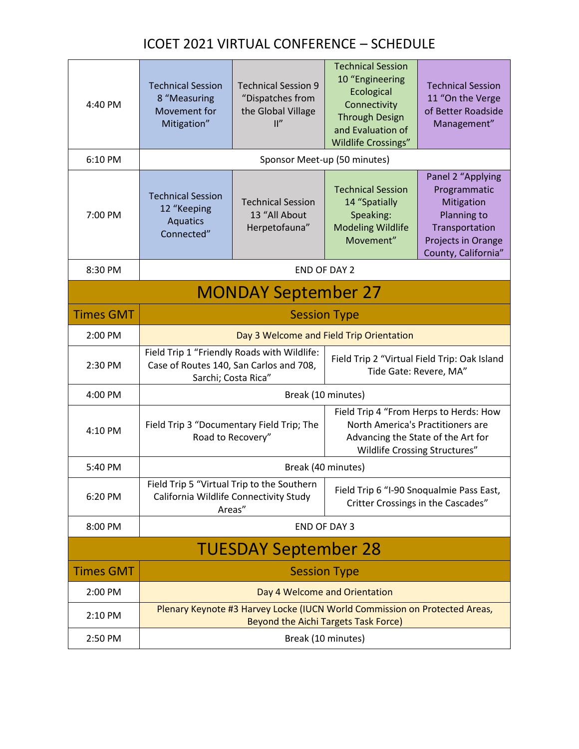## ICOET 2021 VIRTUAL CONFERENCE – SCHEDULE

| 4:40 PM                     | <b>Technical Session</b><br>8 "Measuring<br>Movement for<br>Mitigation"                                            | <b>Technical Session 9</b><br>"Dispatches from<br>the Global Village<br>$\mathbb{I}''$ | <b>Technical Session</b><br>10 "Engineering<br>Ecological<br>Connectivity<br><b>Through Design</b><br>and Evaluation of<br><b>Wildlife Crossings"</b> | <b>Technical Session</b><br>11 "On the Verge<br>of Better Roadside<br>Management"                                             |  |  |
|-----------------------------|--------------------------------------------------------------------------------------------------------------------|----------------------------------------------------------------------------------------|-------------------------------------------------------------------------------------------------------------------------------------------------------|-------------------------------------------------------------------------------------------------------------------------------|--|--|
| 6:10 PM                     | Sponsor Meet-up (50 minutes)                                                                                       |                                                                                        |                                                                                                                                                       |                                                                                                                               |  |  |
| 7:00 PM                     | <b>Technical Session</b><br>12 "Keeping<br><b>Aquatics</b><br>Connected"                                           | <b>Technical Session</b><br>13 "All About<br>Herpetofauna"                             | <b>Technical Session</b><br>14 "Spatially<br>Speaking:<br><b>Modeling Wildlife</b><br>Movement"                                                       | Panel 2 "Applying<br>Programmatic<br>Mitigation<br>Planning to<br>Transportation<br>Projects in Orange<br>County, California" |  |  |
| 8:30 PM                     | <b>END OF DAY 2</b>                                                                                                |                                                                                        |                                                                                                                                                       |                                                                                                                               |  |  |
| <b>MONDAY September 27</b>  |                                                                                                                    |                                                                                        |                                                                                                                                                       |                                                                                                                               |  |  |
| <b>Times GMT</b>            | <b>Session Type</b>                                                                                                |                                                                                        |                                                                                                                                                       |                                                                                                                               |  |  |
| 2:00 PM                     | Day 3 Welcome and Field Trip Orientation                                                                           |                                                                                        |                                                                                                                                                       |                                                                                                                               |  |  |
| 2:30 PM                     | Field Trip 1 "Friendly Roads with Wildlife:<br>Case of Routes 140, San Carlos and 708,<br>Sarchi; Costa Rica"      |                                                                                        | Field Trip 2 "Virtual Field Trip: Oak Island<br>Tide Gate: Revere, MA"                                                                                |                                                                                                                               |  |  |
| 4:00 PM                     | Break (10 minutes)                                                                                                 |                                                                                        |                                                                                                                                                       |                                                                                                                               |  |  |
| 4:10 PM                     | Field Trip 3 "Documentary Field Trip; The<br>Road to Recovery"                                                     |                                                                                        | Field Trip 4 "From Herps to Herds: How<br>North America's Practitioners are<br>Advancing the State of the Art for<br>Wildlife Crossing Structures"    |                                                                                                                               |  |  |
| 5:40 PM                     | Break (40 minutes)                                                                                                 |                                                                                        |                                                                                                                                                       |                                                                                                                               |  |  |
| 6:20 PM                     | Field Trip 5 "Virtual Trip to the Southern<br>California Wildlife Connectivity Study<br>Areas"                     |                                                                                        | Field Trip 6 "I-90 Snoqualmie Pass East,<br>Critter Crossings in the Cascades"                                                                        |                                                                                                                               |  |  |
| 8:00 PM                     | <b>END OF DAY 3</b>                                                                                                |                                                                                        |                                                                                                                                                       |                                                                                                                               |  |  |
| <b>TUESDAY September 28</b> |                                                                                                                    |                                                                                        |                                                                                                                                                       |                                                                                                                               |  |  |
| <b>Times GMT</b>            | <b>Session Type</b>                                                                                                |                                                                                        |                                                                                                                                                       |                                                                                                                               |  |  |
| 2:00 PM                     | Day 4 Welcome and Orientation                                                                                      |                                                                                        |                                                                                                                                                       |                                                                                                                               |  |  |
| 2:10 PM                     | Plenary Keynote #3 Harvey Locke (IUCN World Commission on Protected Areas,<br>Beyond the Aichi Targets Task Force) |                                                                                        |                                                                                                                                                       |                                                                                                                               |  |  |
| 2:50 PM                     | Break (10 minutes)                                                                                                 |                                                                                        |                                                                                                                                                       |                                                                                                                               |  |  |